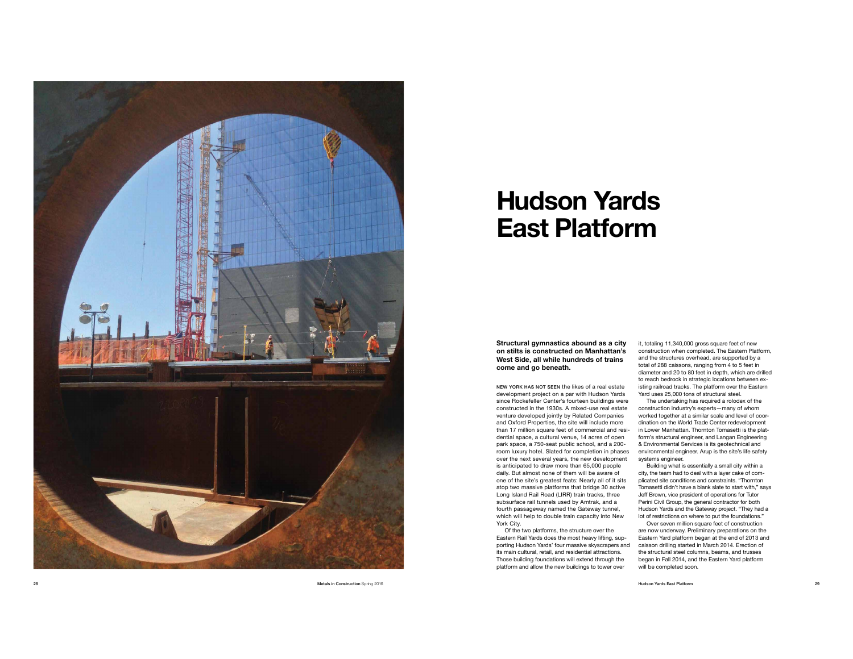

## **Hudson Yards East Platform**

**Structural gymnastics abound as a city on stilts is constructed on Manhattan's West Side, all while hundreds of trains come and go beneath.** 

NEW YORK HAS NOT SEEN the likes of a real estate development project on a par with Hudson Yards since Rockefeller Center's fourteen buildings were constructed in the 1930s. A mixed-use real estate venture developed jointly by Related Companies and Oxford Properties, the site will include more than 17 million square feet of commercial and resi dential space, a cultural venue, 14 acres of open park space, a 750-seat public school, and a 200 room luxury hotel. Slated for completion in phases over the next several years, the new development is anticipated to draw more than 65,000 people daily. But almost none of them will be aware of one of the site's greatest feats: Nearly all of it sits atop two massive platforms that bridge 30 active Long Island Rail Road (LIRR) train tracks, three subsurface rail tunnels used by Amtrak, and a fourth passageway named the Gateway tunnel, which will help to double train capacity into New York City.

Of the two platforms, the structure over the Eastern Rail Yards does the most heavy lifting, sup porting Hudson Yards' four massive skyscrapers and its main cultural, retail, and residential attractions. Those building foundations will extend through the platform and allow the new buildings to tower over

it, totaling 11,340,000 gross square feet of new construction when completed. The Eastern Platform, and the structures overhead, are supported by a total of 288 caissons, ranging from 4 to 5 feet in diameter and 20 to 80 feet in depth, which are drilled to reach bedrock in strategic locations between existing railroad tracks. The platform over the Eastern Yard uses 25,000 tons of structural steel.

The undertaking has required a rolodex of the construction industry's experts—many of whom worked together at a similar scale and level of coordination on the World Trade Center redevelopment in Lower Manhattan. Thornton Tomasetti is the plat form's structural engineer, and Langan Engineering & Environmental Services is its geotechnical and environmental engineer. Arup is the site's life safety systems engineer.

Building what is essentially a small city within a city, the team had to deal with a layer cake of com plicated site conditions and constraints. "Thornton Tomasetti didn't have a blank slate to start with," says Jeff Brown, vice president of operations for Tutor Perini Civil Group, the general contractor for both Hudson Yards and the Gateway project. "They had a lot of restrictions on where to put the foundations."

Over seven million square feet of construction are now underway. Preliminary preparations on the Eastern Yard platform began at the end of 2013 and caisson drilling started in March 2014. Erection of the structural steel columns, beams, and trusses began in Fall 2014, and the Eastern Yard platform will be completed soon.

Hudson Yards East Platform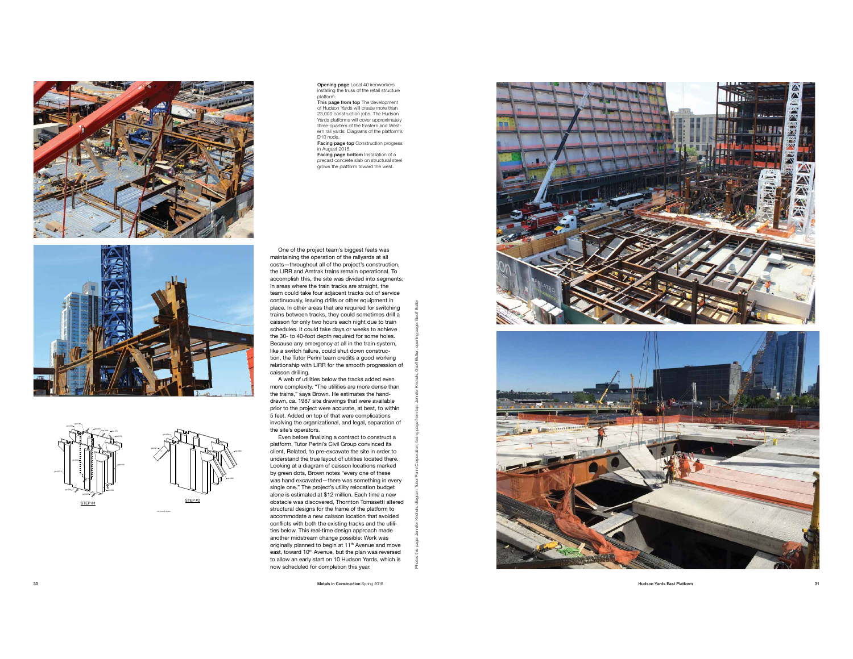





Opening page Local 40 ironworkers installing the truss of the retail structure platform. This page from top The development

of Hudson Yards will create more than 23,000 construction jobs. The Hudson Yards platforms will cover approximately three-quarters of the Eastern and West ern rail yards. Diagrams of the platform's D<sub>10</sub> node.

Facing page top Construction progress in August 2015. Facing page bottom Installation of a

precast concrete slab on structural steel grows the platform toward the west.

One of the project team's biggest feats was maintaining the operation of the railyards at all costs—throughout all of the project's construction, the LIRR and Amtrak trains remain operational. To accomplish this, the site was divided into segments: In areas where the train tracks are straight, the team could take four adjacent tracks out of service continuously, leaving drills or other equipment in place. In other areas that are required for switching trains between tracks, they could sometimes drill a caisson for only two hours each night due to train schedules. It could take days or weeks to achieve the 30- to 40-foot depth required for some holes. Because any emergency at all in the train system, like a switch failure, could shut down construc tion, the Tutor Perini team credits a good working relationship with LIRR for the smooth progression of caisson drilling.

A web of utilities below the tracks added even more complexity. "The utilities are more dense than the trains," says Brown. He estimates the handdrawn, ca. 1987 site drawings that were available prior to the project were accurate, at best, to within 5 feet. Added on top of that were complications involving the organizational, and legal, separation of the site's operators.

pb1089

personalizing a contract to construct a platform, Tutor Perini's Civil Group convinced its client, Related, to pre-excavate the site in order to understand the true layout of utilities located there. procedure are any car or cannot receive answer by green dots, Brown notes "every one of these pp. 3. Except Library 2012, the contract was hand excavated—there was something in every single one." The project's utility relocation budget alone is estimated at \$12 million. Each time a new obstacle was discovered, Thornton Tomasetti altered structural designs for the frame of the platform to accommodate a new caisson location that avoided conflicts with both the existing tracks and the utilities below. This real-time design approach made another midstream change possible: Work was originally planned to begin at 11<sup>th</sup> Avenue and move east, toward 10<sup>th</sup> Avenue, but the plan was reversed to allow an early start on 10 Hudson Yards, which is to allert an early exact on the classes that alley inherite the subuse below<br>
another m<br>
originally p<br>
east, tower<br>
to allow a<br>
now schee

Metals in Construction Spring 2016  $M<sub>1</sub>$  pp $M<sub>1</sub>$ 





Hudson Yards East Platform